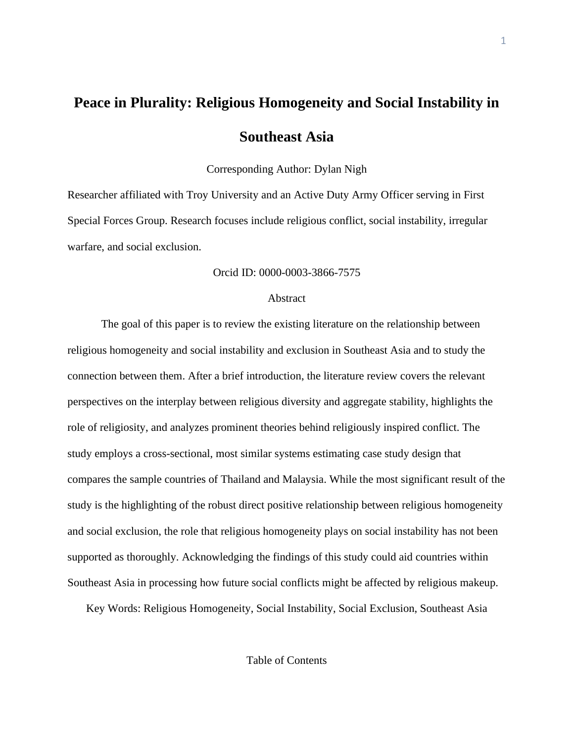# **Peace in Plurality: Religious Homogeneity and Social Instability in Southeast Asia**

Corresponding Author: Dylan Nigh

Researcher affiliated with Troy University and an Active Duty Army Officer serving in First Special Forces Group. Research focuses include religious conflict, social instability, irregular warfare, and social exclusion.

## Orcid ID: 0000-0003-3866-7575

## Abstract

The goal of this paper is to review the existing literature on the relationship between religious homogeneity and social instability and exclusion in Southeast Asia and to study the connection between them. After a brief introduction, the literature review covers the relevant perspectives on the interplay between religious diversity and aggregate stability, highlights the role of religiosity, and analyzes prominent theories behind religiously inspired conflict. The study employs a cross-sectional, most similar systems estimating case study design that compares the sample countries of Thailand and Malaysia. While the most significant result of the study is the highlighting of the robust direct positive relationship between religious homogeneity and social exclusion, the role that religious homogeneity plays on social instability has not been supported as thoroughly. Acknowledging the findings of this study could aid countries within Southeast Asia in processing how future social conflicts might be affected by religious makeup.

Key Words: Religious Homogeneity, Social Instability, Social Exclusion, Southeast Asia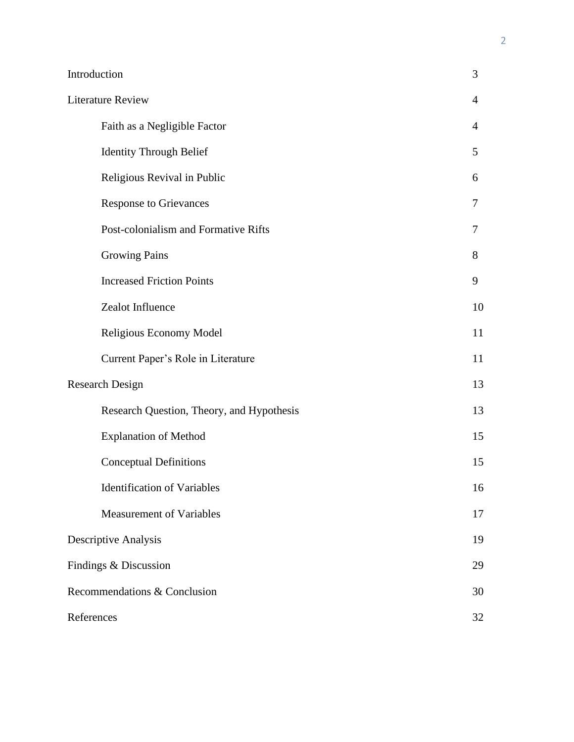| Introduction                              | 3                        |  |  |  |  |  |
|-------------------------------------------|--------------------------|--|--|--|--|--|
| <b>Literature Review</b>                  |                          |  |  |  |  |  |
| Faith as a Negligible Factor              | $\overline{4}$           |  |  |  |  |  |
| <b>Identity Through Belief</b>            | 5                        |  |  |  |  |  |
| Religious Revival in Public               | 6                        |  |  |  |  |  |
| <b>Response to Grievances</b>             | $\overline{\mathcal{L}}$ |  |  |  |  |  |
| Post-colonialism and Formative Rifts      | $\tau$                   |  |  |  |  |  |
| <b>Growing Pains</b>                      | 8                        |  |  |  |  |  |
| <b>Increased Friction Points</b>          | 9                        |  |  |  |  |  |
| Zealot Influence                          | 10                       |  |  |  |  |  |
| Religious Economy Model                   | 11                       |  |  |  |  |  |
| Current Paper's Role in Literature        | 11                       |  |  |  |  |  |
| <b>Research Design</b>                    | 13                       |  |  |  |  |  |
| Research Question, Theory, and Hypothesis | 13                       |  |  |  |  |  |
| <b>Explanation of Method</b>              | 15                       |  |  |  |  |  |
| <b>Conceptual Definitions</b>             | 15                       |  |  |  |  |  |
| <b>Identification of Variables</b>        | 16                       |  |  |  |  |  |
| <b>Measurement of Variables</b>           | 17                       |  |  |  |  |  |
| <b>Descriptive Analysis</b>               | 19                       |  |  |  |  |  |
| Findings & Discussion                     |                          |  |  |  |  |  |
| Recommendations & Conclusion              |                          |  |  |  |  |  |
| References                                |                          |  |  |  |  |  |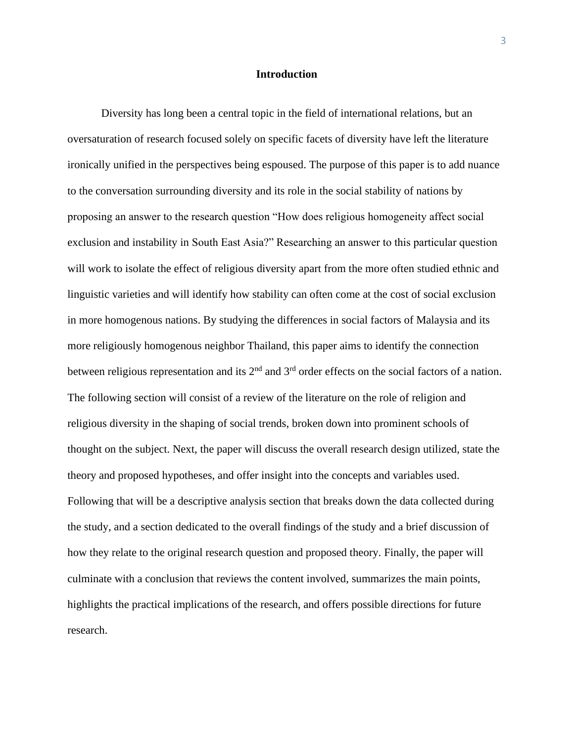## **Introduction**

Diversity has long been a central topic in the field of international relations, but an oversaturation of research focused solely on specific facets of diversity have left the literature ironically unified in the perspectives being espoused. The purpose of this paper is to add nuance to the conversation surrounding diversity and its role in the social stability of nations by proposing an answer to the research question "How does religious homogeneity affect social exclusion and instability in South East Asia?" Researching an answer to this particular question will work to isolate the effect of religious diversity apart from the more often studied ethnic and linguistic varieties and will identify how stability can often come at the cost of social exclusion in more homogenous nations. By studying the differences in social factors of Malaysia and its more religiously homogenous neighbor Thailand, this paper aims to identify the connection between religious representation and its  $2<sup>nd</sup>$  and  $3<sup>rd</sup>$  order effects on the social factors of a nation. The following section will consist of a review of the literature on the role of religion and religious diversity in the shaping of social trends, broken down into prominent schools of thought on the subject. Next, the paper will discuss the overall research design utilized, state the theory and proposed hypotheses, and offer insight into the concepts and variables used. Following that will be a descriptive analysis section that breaks down the data collected during the study, and a section dedicated to the overall findings of the study and a brief discussion of how they relate to the original research question and proposed theory. Finally, the paper will culminate with a conclusion that reviews the content involved, summarizes the main points, highlights the practical implications of the research, and offers possible directions for future research.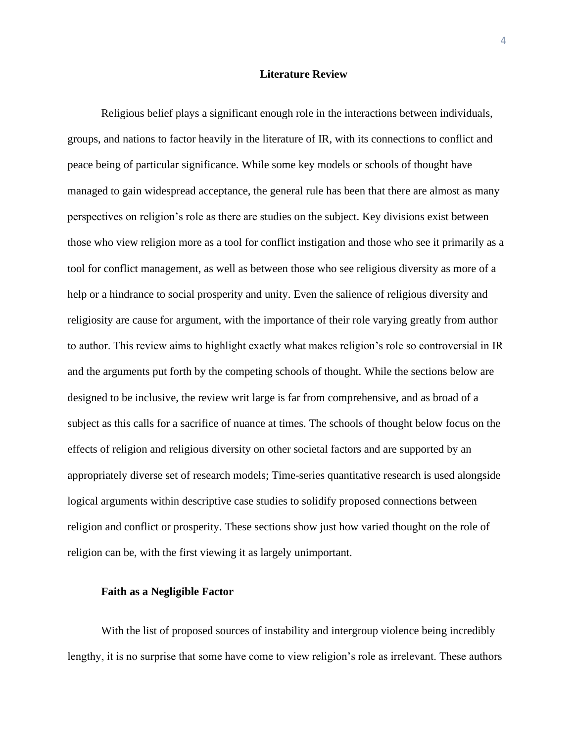## **Literature Review**

Religious belief plays a significant enough role in the interactions between individuals, groups, and nations to factor heavily in the literature of IR, with its connections to conflict and peace being of particular significance. While some key models or schools of thought have managed to gain widespread acceptance, the general rule has been that there are almost as many perspectives on religion's role as there are studies on the subject. Key divisions exist between those who view religion more as a tool for conflict instigation and those who see it primarily as a tool for conflict management, as well as between those who see religious diversity as more of a help or a hindrance to social prosperity and unity. Even the salience of religious diversity and religiosity are cause for argument, with the importance of their role varying greatly from author to author. This review aims to highlight exactly what makes religion's role so controversial in IR and the arguments put forth by the competing schools of thought. While the sections below are designed to be inclusive, the review writ large is far from comprehensive, and as broad of a subject as this calls for a sacrifice of nuance at times. The schools of thought below focus on the effects of religion and religious diversity on other societal factors and are supported by an appropriately diverse set of research models; Time-series quantitative research is used alongside logical arguments within descriptive case studies to solidify proposed connections between religion and conflict or prosperity. These sections show just how varied thought on the role of religion can be, with the first viewing it as largely unimportant.

#### **Faith as a Negligible Factor**

With the list of proposed sources of instability and intergroup violence being incredibly lengthy, it is no surprise that some have come to view religion's role as irrelevant. These authors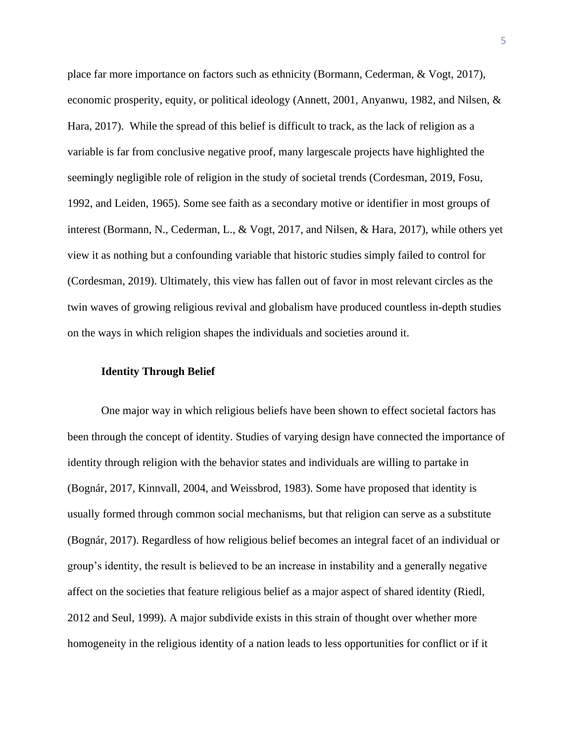place far more importance on factors such as ethnicity (Bormann, Cederman, & Vogt, 2017), economic prosperity, equity, or political ideology (Annett, 2001, Anyanwu, 1982, and Nilsen, & Hara, 2017). While the spread of this belief is difficult to track, as the lack of religion as a variable is far from conclusive negative proof, many largescale projects have highlighted the seemingly negligible role of religion in the study of societal trends (Cordesman, 2019, Fosu, 1992, and Leiden, 1965). Some see faith as a secondary motive or identifier in most groups of interest (Bormann, N., Cederman, L., & Vogt, 2017, and Nilsen, & Hara, 2017), while others yet view it as nothing but a confounding variable that historic studies simply failed to control for (Cordesman, 2019). Ultimately, this view has fallen out of favor in most relevant circles as the twin waves of growing religious revival and globalism have produced countless in-depth studies on the ways in which religion shapes the individuals and societies around it.

## **Identity Through Belief**

One major way in which religious beliefs have been shown to effect societal factors has been through the concept of identity. Studies of varying design have connected the importance of identity through religion with the behavior states and individuals are willing to partake in (Bognár, 2017, Kinnvall, 2004, and Weissbrod, 1983). Some have proposed that identity is usually formed through common social mechanisms, but that religion can serve as a substitute (Bognár, 2017). Regardless of how religious belief becomes an integral facet of an individual or group's identity, the result is believed to be an increase in instability and a generally negative affect on the societies that feature religious belief as a major aspect of shared identity (Riedl, 2012 and Seul, 1999). A major subdivide exists in this strain of thought over whether more homogeneity in the religious identity of a nation leads to less opportunities for conflict or if it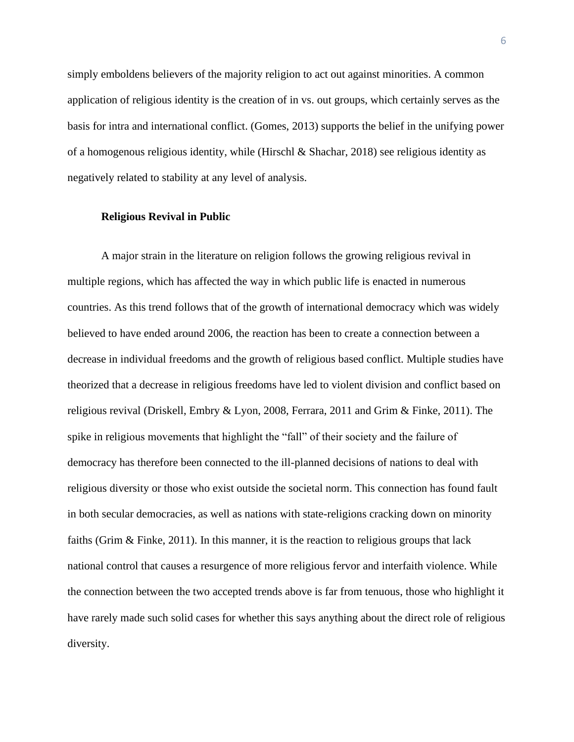simply emboldens believers of the majority religion to act out against minorities. A common application of religious identity is the creation of in vs. out groups, which certainly serves as the basis for intra and international conflict. (Gomes, 2013) supports the belief in the unifying power of a homogenous religious identity, while (Hirschl & Shachar, 2018) see religious identity as negatively related to stability at any level of analysis.

#### **Religious Revival in Public**

A major strain in the literature on religion follows the growing religious revival in multiple regions, which has affected the way in which public life is enacted in numerous countries. As this trend follows that of the growth of international democracy which was widely believed to have ended around 2006, the reaction has been to create a connection between a decrease in individual freedoms and the growth of religious based conflict. Multiple studies have theorized that a decrease in religious freedoms have led to violent division and conflict based on religious revival (Driskell, Embry & Lyon, 2008, Ferrara, 2011 and Grim & Finke, 2011). The spike in religious movements that highlight the "fall" of their society and the failure of democracy has therefore been connected to the ill-planned decisions of nations to deal with religious diversity or those who exist outside the societal norm. This connection has found fault in both secular democracies, as well as nations with state-religions cracking down on minority faiths (Grim & Finke, 2011). In this manner, it is the reaction to religious groups that lack national control that causes a resurgence of more religious fervor and interfaith violence. While the connection between the two accepted trends above is far from tenuous, those who highlight it have rarely made such solid cases for whether this says anything about the direct role of religious diversity.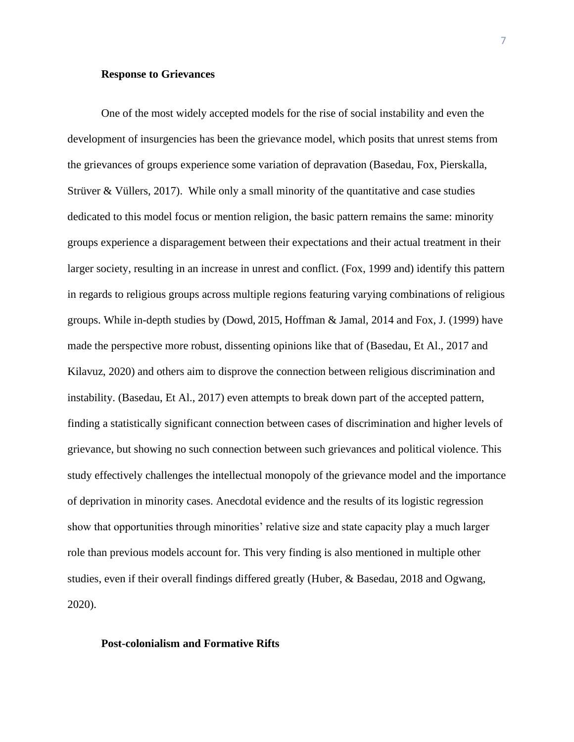## **Response to Grievances**

One of the most widely accepted models for the rise of social instability and even the development of insurgencies has been the grievance model, which posits that unrest stems from the grievances of groups experience some variation of depravation (Basedau, Fox, Pierskalla, Strüver  $\&$  Vüllers, 2017). While only a small minority of the quantitative and case studies dedicated to this model focus or mention religion, the basic pattern remains the same: minority groups experience a disparagement between their expectations and their actual treatment in their larger society, resulting in an increase in unrest and conflict. (Fox, 1999 and) identify this pattern in regards to religious groups across multiple regions featuring varying combinations of religious groups. While in-depth studies by (Dowd, 2015, Hoffman & Jamal, 2014 and Fox, J. (1999) have made the perspective more robust, dissenting opinions like that of (Basedau, Et Al., 2017 and Kilavuz, 2020) and others aim to disprove the connection between religious discrimination and instability. (Basedau, Et Al., 2017) even attempts to break down part of the accepted pattern, finding a statistically significant connection between cases of discrimination and higher levels of grievance, but showing no such connection between such grievances and political violence. This study effectively challenges the intellectual monopoly of the grievance model and the importance of deprivation in minority cases. Anecdotal evidence and the results of its logistic regression show that opportunities through minorities' relative size and state capacity play a much larger role than previous models account for. This very finding is also mentioned in multiple other studies, even if their overall findings differed greatly (Huber, & Basedau, 2018 and Ogwang, 2020).

## **Post-colonialism and Formative Rifts**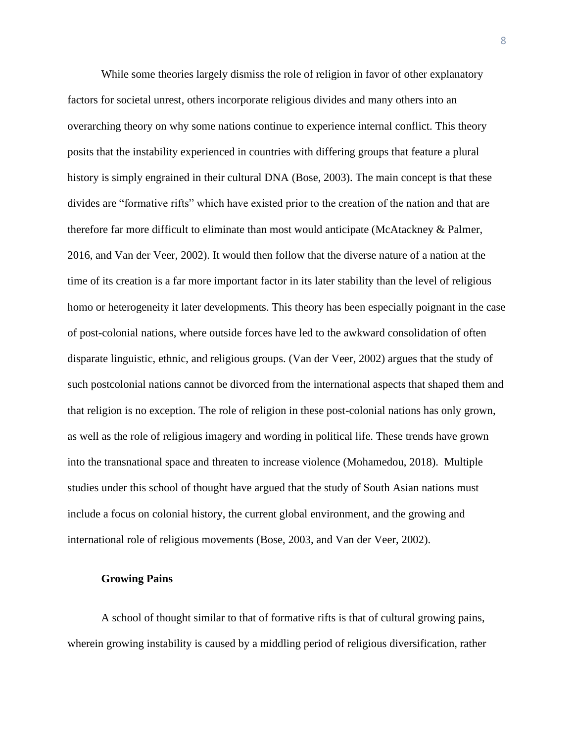While some theories largely dismiss the role of religion in favor of other explanatory factors for societal unrest, others incorporate religious divides and many others into an overarching theory on why some nations continue to experience internal conflict. This theory posits that the instability experienced in countries with differing groups that feature a plural history is simply engrained in their cultural DNA (Bose, 2003). The main concept is that these divides are "formative rifts" which have existed prior to the creation of the nation and that are therefore far more difficult to eliminate than most would anticipate (McAtackney & Palmer, 2016, and Van der Veer, 2002). It would then follow that the diverse nature of a nation at the time of its creation is a far more important factor in its later stability than the level of religious homo or heterogeneity it later developments. This theory has been especially poignant in the case of post-colonial nations, where outside forces have led to the awkward consolidation of often disparate linguistic, ethnic, and religious groups. (Van der Veer, 2002) argues that the study of such postcolonial nations cannot be divorced from the international aspects that shaped them and that religion is no exception. The role of religion in these post-colonial nations has only grown, as well as the role of religious imagery and wording in political life. These trends have grown into the transnational space and threaten to increase violence (Mohamedou, 2018). Multiple studies under this school of thought have argued that the study of South Asian nations must include a focus on colonial history, the current global environment, and the growing and international role of religious movements (Bose, 2003, and Van der Veer, 2002).

## **Growing Pains**

A school of thought similar to that of formative rifts is that of cultural growing pains, wherein growing instability is caused by a middling period of religious diversification, rather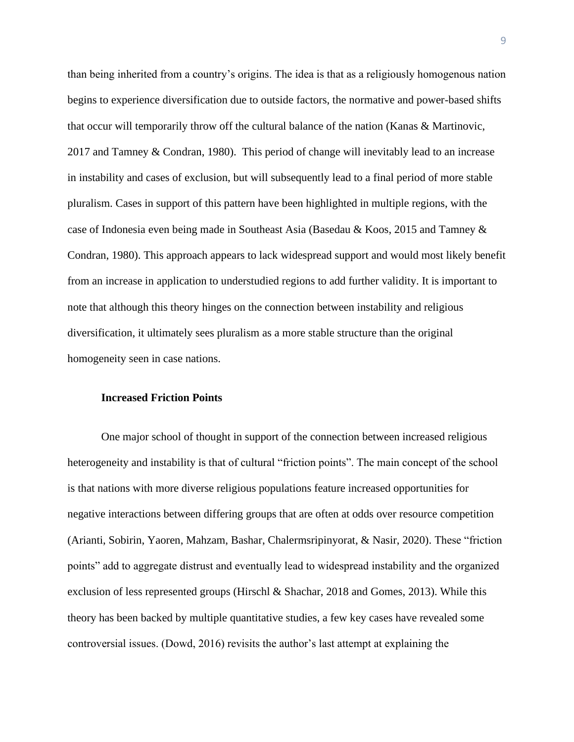than being inherited from a country's origins. The idea is that as a religiously homogenous nation begins to experience diversification due to outside factors, the normative and power-based shifts that occur will temporarily throw off the cultural balance of the nation (Kanas & Martinovic, 2017 and Tamney & Condran, 1980). This period of change will inevitably lead to an increase in instability and cases of exclusion, but will subsequently lead to a final period of more stable pluralism. Cases in support of this pattern have been highlighted in multiple regions, with the case of Indonesia even being made in Southeast Asia (Basedau & Koos, 2015 and Tamney & Condran, 1980). This approach appears to lack widespread support and would most likely benefit from an increase in application to understudied regions to add further validity. It is important to note that although this theory hinges on the connection between instability and religious diversification, it ultimately sees pluralism as a more stable structure than the original homogeneity seen in case nations.

#### **Increased Friction Points**

One major school of thought in support of the connection between increased religious heterogeneity and instability is that of cultural "friction points". The main concept of the school is that nations with more diverse religious populations feature increased opportunities for negative interactions between differing groups that are often at odds over resource competition (Arianti, Sobirin, Yaoren, Mahzam, Bashar, Chalermsripinyorat, & Nasir, 2020). These "friction points" add to aggregate distrust and eventually lead to widespread instability and the organized exclusion of less represented groups (Hirschl & Shachar, 2018 and Gomes, 2013). While this theory has been backed by multiple quantitative studies, a few key cases have revealed some controversial issues. (Dowd, 2016) revisits the author's last attempt at explaining the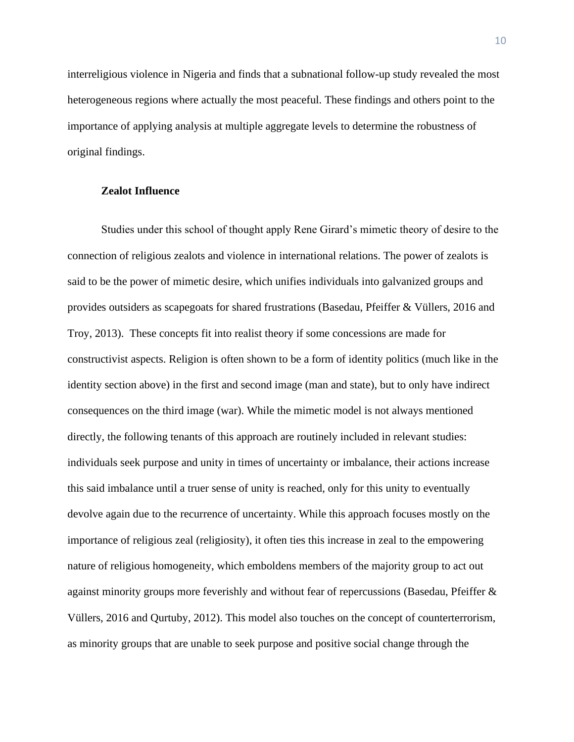interreligious violence in Nigeria and finds that a subnational follow-up study revealed the most heterogeneous regions where actually the most peaceful. These findings and others point to the importance of applying analysis at multiple aggregate levels to determine the robustness of original findings.

## **Zealot Influence**

Studies under this school of thought apply Rene Girard's mimetic theory of desire to the connection of religious zealots and violence in international relations. The power of zealots is said to be the power of mimetic desire, which unifies individuals into galvanized groups and provides outsiders as scapegoats for shared frustrations (Basedau, Pfeiffer & Vüllers, 2016 and Troy, 2013). These concepts fit into realist theory if some concessions are made for constructivist aspects. Religion is often shown to be a form of identity politics (much like in the identity section above) in the first and second image (man and state), but to only have indirect consequences on the third image (war). While the mimetic model is not always mentioned directly, the following tenants of this approach are routinely included in relevant studies: individuals seek purpose and unity in times of uncertainty or imbalance, their actions increase this said imbalance until a truer sense of unity is reached, only for this unity to eventually devolve again due to the recurrence of uncertainty. While this approach focuses mostly on the importance of religious zeal (religiosity), it often ties this increase in zeal to the empowering nature of religious homogeneity, which emboldens members of the majority group to act out against minority groups more feverishly and without fear of repercussions (Basedau, Pfeiffer & Vüllers, 2016 and Qurtuby, 2012). This model also touches on the concept of counterterrorism, as minority groups that are unable to seek purpose and positive social change through the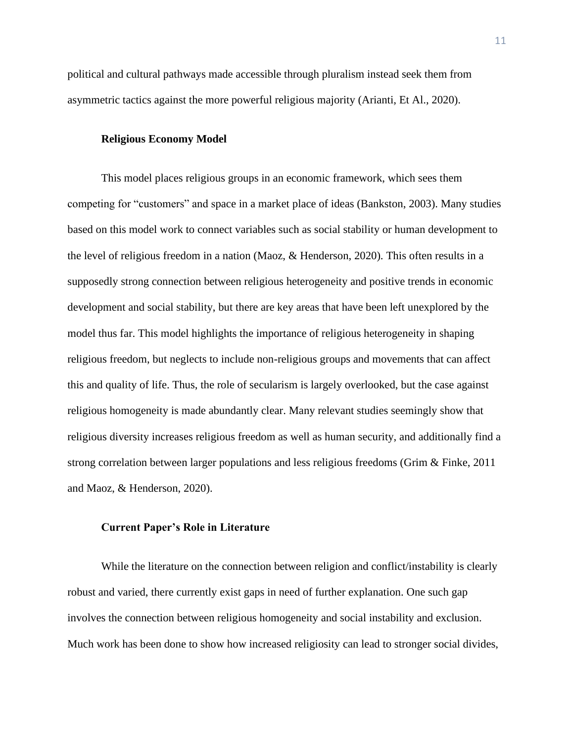political and cultural pathways made accessible through pluralism instead seek them from asymmetric tactics against the more powerful religious majority (Arianti, Et Al., 2020).

## **Religious Economy Model**

This model places religious groups in an economic framework, which sees them competing for "customers" and space in a market place of ideas (Bankston, 2003). Many studies based on this model work to connect variables such as social stability or human development to the level of religious freedom in a nation (Maoz, & Henderson, 2020). This often results in a supposedly strong connection between religious heterogeneity and positive trends in economic development and social stability, but there are key areas that have been left unexplored by the model thus far. This model highlights the importance of religious heterogeneity in shaping religious freedom, but neglects to include non-religious groups and movements that can affect this and quality of life. Thus, the role of secularism is largely overlooked, but the case against religious homogeneity is made abundantly clear. Many relevant studies seemingly show that religious diversity increases religious freedom as well as human security, and additionally find a strong correlation between larger populations and less religious freedoms (Grim & Finke, 2011 and Maoz, & Henderson, 2020).

## **Current Paper's Role in Literature**

While the literature on the connection between religion and conflict/instability is clearly robust and varied, there currently exist gaps in need of further explanation. One such gap involves the connection between religious homogeneity and social instability and exclusion. Much work has been done to show how increased religiosity can lead to stronger social divides,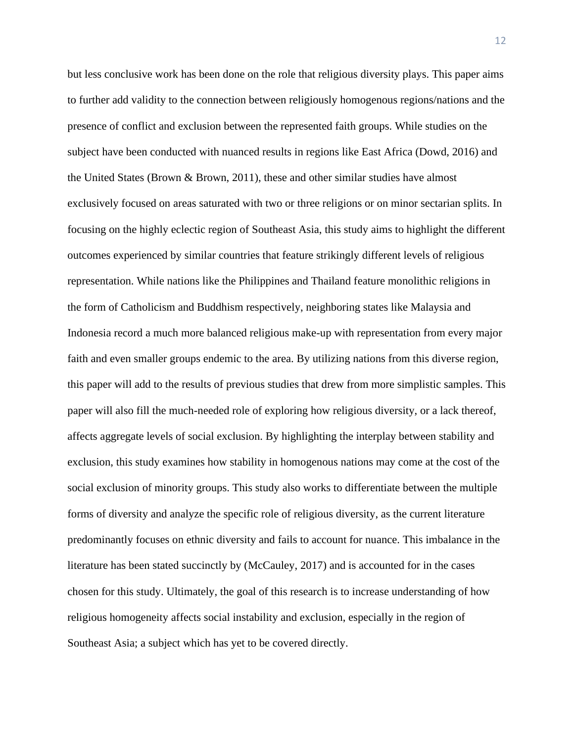but less conclusive work has been done on the role that religious diversity plays. This paper aims to further add validity to the connection between religiously homogenous regions/nations and the presence of conflict and exclusion between the represented faith groups. While studies on the subject have been conducted with nuanced results in regions like East Africa (Dowd, 2016) and the United States (Brown & Brown, 2011), these and other similar studies have almost exclusively focused on areas saturated with two or three religions or on minor sectarian splits. In focusing on the highly eclectic region of Southeast Asia, this study aims to highlight the different outcomes experienced by similar countries that feature strikingly different levels of religious representation. While nations like the Philippines and Thailand feature monolithic religions in the form of Catholicism and Buddhism respectively, neighboring states like Malaysia and Indonesia record a much more balanced religious make-up with representation from every major faith and even smaller groups endemic to the area. By utilizing nations from this diverse region, this paper will add to the results of previous studies that drew from more simplistic samples. This paper will also fill the much-needed role of exploring how religious diversity, or a lack thereof, affects aggregate levels of social exclusion. By highlighting the interplay between stability and exclusion, this study examines how stability in homogenous nations may come at the cost of the social exclusion of minority groups. This study also works to differentiate between the multiple forms of diversity and analyze the specific role of religious diversity, as the current literature predominantly focuses on ethnic diversity and fails to account for nuance. This imbalance in the literature has been stated succinctly by (McCauley, 2017) and is accounted for in the cases chosen for this study. Ultimately, the goal of this research is to increase understanding of how religious homogeneity affects social instability and exclusion, especially in the region of Southeast Asia; a subject which has yet to be covered directly.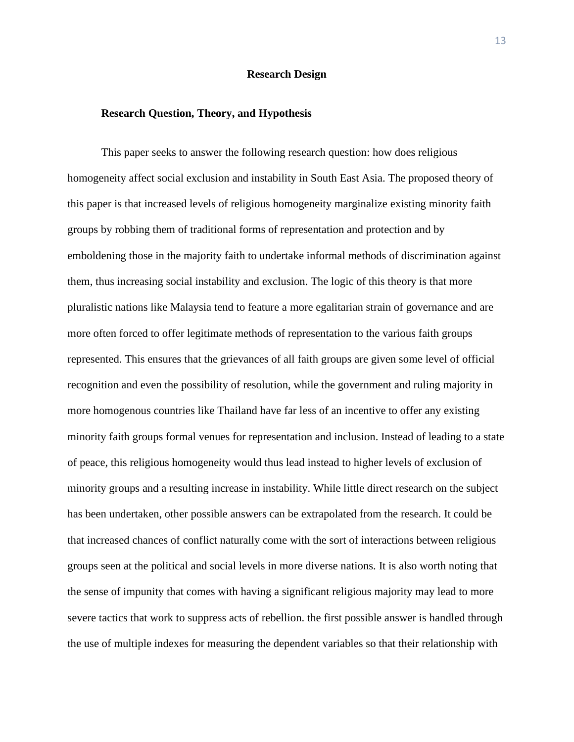## **Research Design**

## **Research Question, Theory, and Hypothesis**

This paper seeks to answer the following research question: how does religious homogeneity affect social exclusion and instability in South East Asia. The proposed theory of this paper is that increased levels of religious homogeneity marginalize existing minority faith groups by robbing them of traditional forms of representation and protection and by emboldening those in the majority faith to undertake informal methods of discrimination against them, thus increasing social instability and exclusion. The logic of this theory is that more pluralistic nations like Malaysia tend to feature a more egalitarian strain of governance and are more often forced to offer legitimate methods of representation to the various faith groups represented. This ensures that the grievances of all faith groups are given some level of official recognition and even the possibility of resolution, while the government and ruling majority in more homogenous countries like Thailand have far less of an incentive to offer any existing minority faith groups formal venues for representation and inclusion. Instead of leading to a state of peace, this religious homogeneity would thus lead instead to higher levels of exclusion of minority groups and a resulting increase in instability. While little direct research on the subject has been undertaken, other possible answers can be extrapolated from the research. It could be that increased chances of conflict naturally come with the sort of interactions between religious groups seen at the political and social levels in more diverse nations. It is also worth noting that the sense of impunity that comes with having a significant religious majority may lead to more severe tactics that work to suppress acts of rebellion. the first possible answer is handled through the use of multiple indexes for measuring the dependent variables so that their relationship with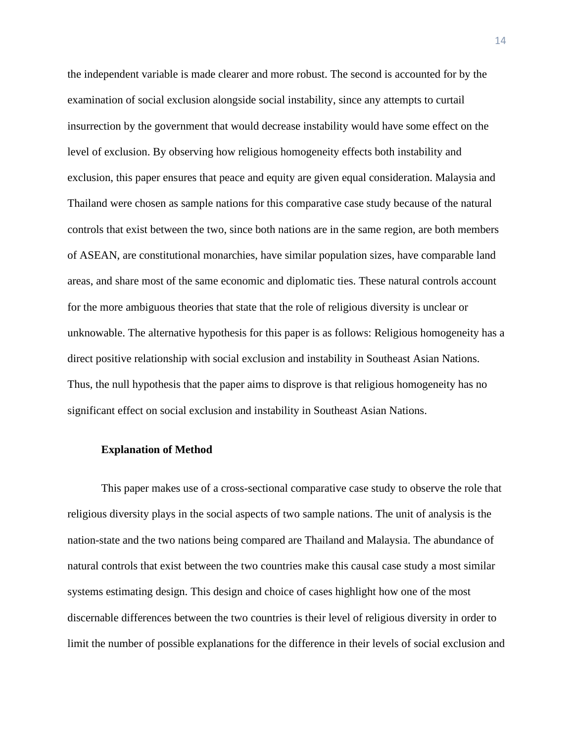the independent variable is made clearer and more robust. The second is accounted for by the examination of social exclusion alongside social instability, since any attempts to curtail insurrection by the government that would decrease instability would have some effect on the level of exclusion. By observing how religious homogeneity effects both instability and exclusion, this paper ensures that peace and equity are given equal consideration. Malaysia and Thailand were chosen as sample nations for this comparative case study because of the natural controls that exist between the two, since both nations are in the same region, are both members of ASEAN, are constitutional monarchies, have similar population sizes, have comparable land areas, and share most of the same economic and diplomatic ties. These natural controls account for the more ambiguous theories that state that the role of religious diversity is unclear or unknowable. The alternative hypothesis for this paper is as follows: Religious homogeneity has a direct positive relationship with social exclusion and instability in Southeast Asian Nations. Thus, the null hypothesis that the paper aims to disprove is that religious homogeneity has no significant effect on social exclusion and instability in Southeast Asian Nations.

### **Explanation of Method**

This paper makes use of a cross-sectional comparative case study to observe the role that religious diversity plays in the social aspects of two sample nations. The unit of analysis is the nation-state and the two nations being compared are Thailand and Malaysia. The abundance of natural controls that exist between the two countries make this causal case study a most similar systems estimating design. This design and choice of cases highlight how one of the most discernable differences between the two countries is their level of religious diversity in order to limit the number of possible explanations for the difference in their levels of social exclusion and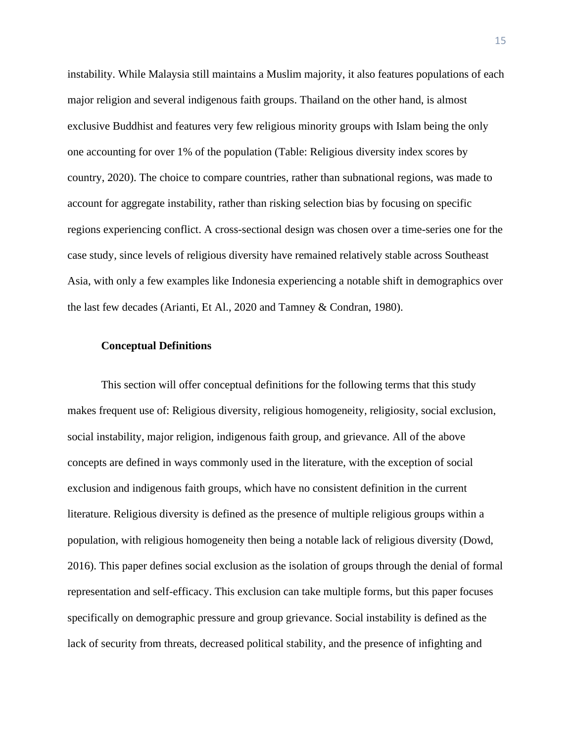instability. While Malaysia still maintains a Muslim majority, it also features populations of each major religion and several indigenous faith groups. Thailand on the other hand, is almost exclusive Buddhist and features very few religious minority groups with Islam being the only one accounting for over 1% of the population (Table: Religious diversity index scores by country, 2020). The choice to compare countries, rather than subnational regions, was made to account for aggregate instability, rather than risking selection bias by focusing on specific regions experiencing conflict. A cross-sectional design was chosen over a time-series one for the case study, since levels of religious diversity have remained relatively stable across Southeast Asia, with only a few examples like Indonesia experiencing a notable shift in demographics over the last few decades (Arianti, Et Al., 2020 and Tamney & Condran, 1980).

## **Conceptual Definitions**

This section will offer conceptual definitions for the following terms that this study makes frequent use of: Religious diversity, religious homogeneity, religiosity, social exclusion, social instability, major religion, indigenous faith group, and grievance. All of the above concepts are defined in ways commonly used in the literature, with the exception of social exclusion and indigenous faith groups, which have no consistent definition in the current literature. Religious diversity is defined as the presence of multiple religious groups within a population, with religious homogeneity then being a notable lack of religious diversity (Dowd, 2016). This paper defines social exclusion as the isolation of groups through the denial of formal representation and self-efficacy. This exclusion can take multiple forms, but this paper focuses specifically on demographic pressure and group grievance. Social instability is defined as the lack of security from threats, decreased political stability, and the presence of infighting and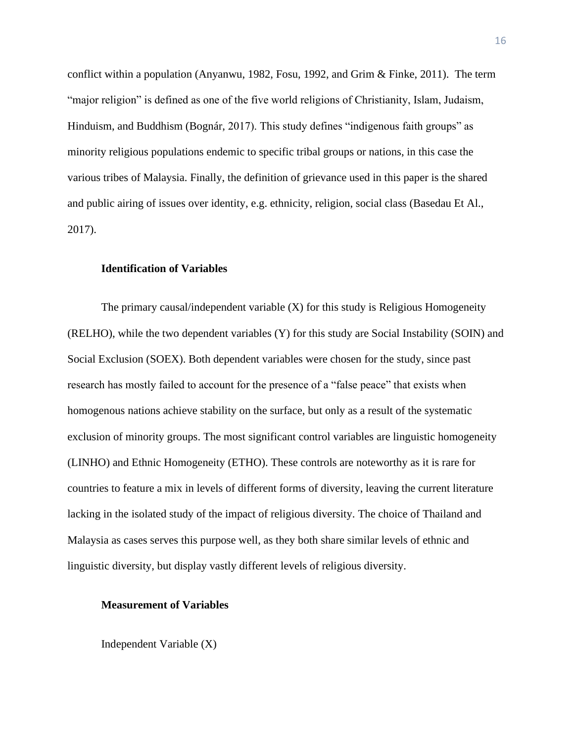conflict within a population (Anyanwu, 1982, Fosu, 1992, and Grim & Finke, 2011). The term "major religion" is defined as one of the five world religions of Christianity, Islam, Judaism, Hinduism, and Buddhism (Bognár, 2017). This study defines "indigenous faith groups" as minority religious populations endemic to specific tribal groups or nations, in this case the various tribes of Malaysia. Finally, the definition of grievance used in this paper is the shared and public airing of issues over identity, e.g. ethnicity, religion, social class (Basedau Et Al., 2017).

## **Identification of Variables**

The primary causal/independent variable  $(X)$  for this study is Religious Homogeneity (RELHO), while the two dependent variables (Y) for this study are Social Instability (SOIN) and Social Exclusion (SOEX). Both dependent variables were chosen for the study, since past research has mostly failed to account for the presence of a "false peace" that exists when homogenous nations achieve stability on the surface, but only as a result of the systematic exclusion of minority groups. The most significant control variables are linguistic homogeneity (LINHO) and Ethnic Homogeneity (ETHO). These controls are noteworthy as it is rare for countries to feature a mix in levels of different forms of diversity, leaving the current literature lacking in the isolated study of the impact of religious diversity. The choice of Thailand and Malaysia as cases serves this purpose well, as they both share similar levels of ethnic and linguistic diversity, but display vastly different levels of religious diversity.

## **Measurement of Variables**

Independent Variable (X)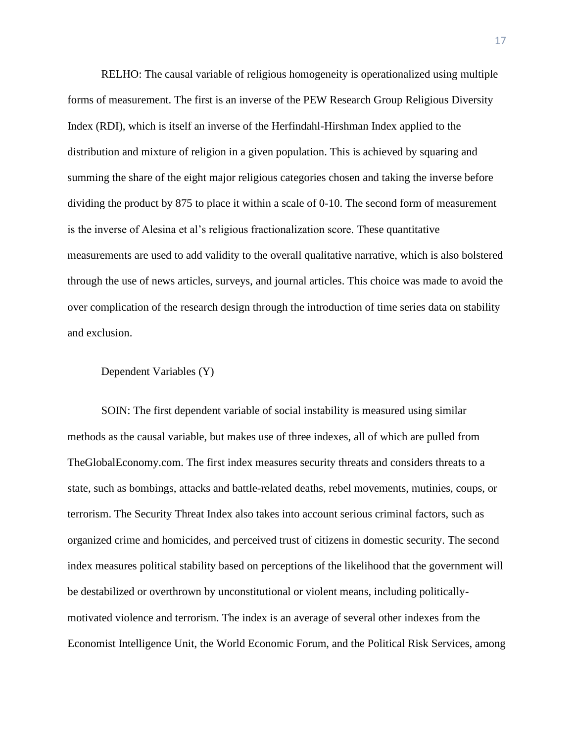RELHO: The causal variable of religious homogeneity is operationalized using multiple forms of measurement. The first is an inverse of the PEW Research Group Religious Diversity Index (RDI), which is itself an inverse of the Herfindahl-Hirshman Index applied to the distribution and mixture of religion in a given population. This is achieved by squaring and summing the share of the eight major religious categories chosen and taking the inverse before dividing the product by 875 to place it within a scale of 0-10. The second form of measurement is the inverse of Alesina et al's religious fractionalization score. These quantitative measurements are used to add validity to the overall qualitative narrative, which is also bolstered through the use of news articles, surveys, and journal articles. This choice was made to avoid the over complication of the research design through the introduction of time series data on stability and exclusion.

## Dependent Variables (Y)

SOIN: The first dependent variable of social instability is measured using similar methods as the causal variable, but makes use of three indexes, all of which are pulled from TheGlobalEconomy.com. The first index measures security threats and considers threats to a state, such as bombings, attacks and battle-related deaths, rebel movements, mutinies, coups, or terrorism. The Security Threat Index also takes into account serious criminal factors, such as organized crime and homicides, and perceived trust of citizens in domestic security. The second index measures political stability based on perceptions of the likelihood that the government will be destabilized or overthrown by unconstitutional or violent means, including politicallymotivated violence and terrorism. The index is an average of several other indexes from the Economist Intelligence Unit, the World Economic Forum, and the Political Risk Services, among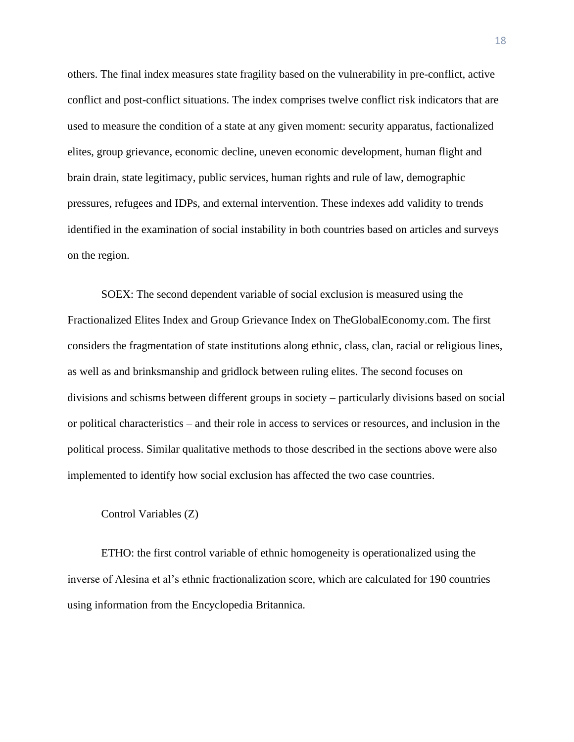others. The final index measures state fragility based on the vulnerability in pre-conflict, active conflict and post-conflict situations. The index comprises twelve conflict risk indicators that are used to measure the condition of a state at any given moment: security apparatus, factionalized elites, group grievance, economic decline, uneven economic development, human flight and brain drain, state legitimacy, public services, human rights and rule of law, demographic pressures, refugees and IDPs, and external intervention. These indexes add validity to trends identified in the examination of social instability in both countries based on articles and surveys on the region.

SOEX: The second dependent variable of social exclusion is measured using the Fractionalized Elites Index and Group Grievance Index on TheGlobalEconomy.com. The first considers the fragmentation of state institutions along ethnic, class, clan, racial or religious lines, as well as and brinksmanship and gridlock between ruling elites. The second focuses on divisions and schisms between different groups in society – particularly divisions based on social or political characteristics – and their role in access to services or resources, and inclusion in the political process. Similar qualitative methods to those described in the sections above were also implemented to identify how social exclusion has affected the two case countries.

#### Control Variables (Z)

ETHO: the first control variable of ethnic homogeneity is operationalized using the inverse of Alesina et al's ethnic fractionalization score, which are calculated for 190 countries using information from the Encyclopedia Britannica.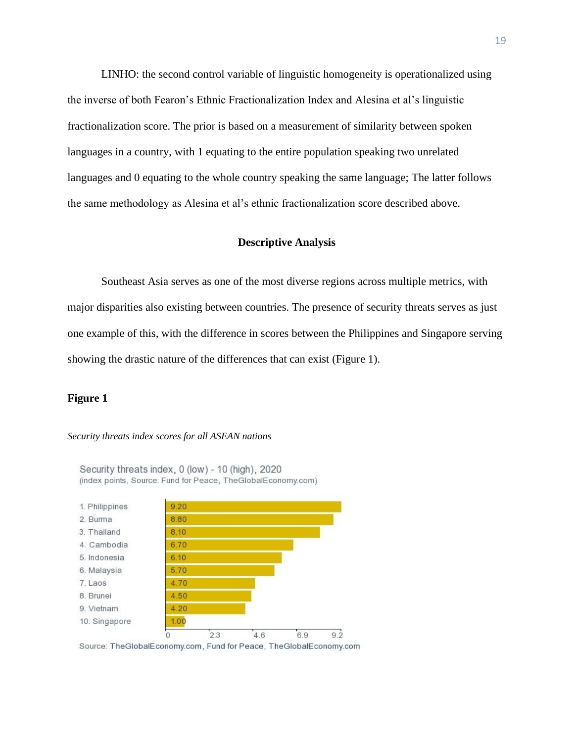LINHO: the second control variable of linguistic homogeneity is operationalized using the inverse of both Fearon's Ethnic Fractionalization Index and Alesina et al's linguistic fractionalization score. The prior is based on a measurement of similarity between spoken languages in a country, with 1 equating to the entire population speaking two unrelated languages and 0 equating to the whole country speaking the same language; The latter follows the same methodology as Alesina et al's ethnic fractionalization score described above.

## **Descriptive Analysis**

Southeast Asia serves as one of the most diverse regions across multiple metrics, with major disparities also existing between countries. The presence of security threats serves as just one example of this, with the difference in scores between the Philippines and Singapore serving showing the drastic nature of the differences that can exist (Figure 1).

## **Figure 1**

#### *Security threats index scores for all ASEAN nations*



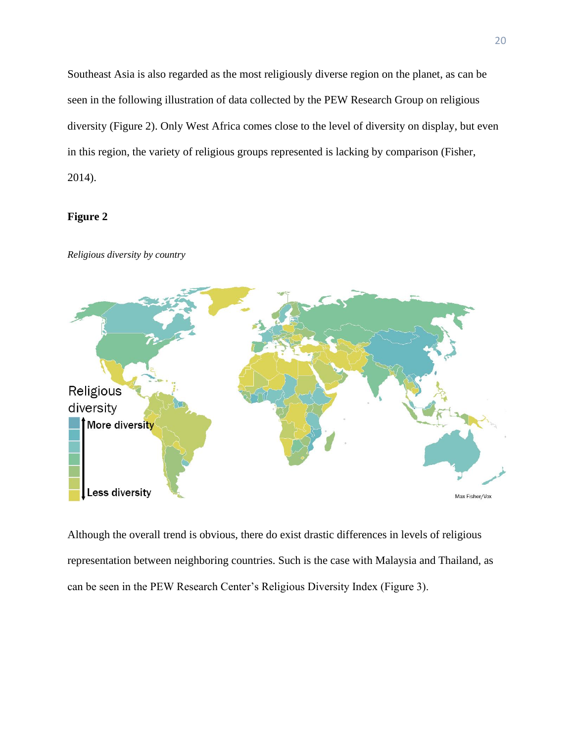Southeast Asia is also regarded as the most religiously diverse region on the planet, as can be seen in the following illustration of data collected by the PEW Research Group on religious diversity (Figure 2). Only West Africa comes close to the level of diversity on display, but even in this region, the variety of religious groups represented is lacking by comparison (Fisher, 2014).

# **Figure 2**



*Religious diversity by country* 

Although the overall trend is obvious, there do exist drastic differences in levels of religious representation between neighboring countries. Such is the case with Malaysia and Thailand, as can be seen in the PEW Research Center's Religious Diversity Index (Figure 3).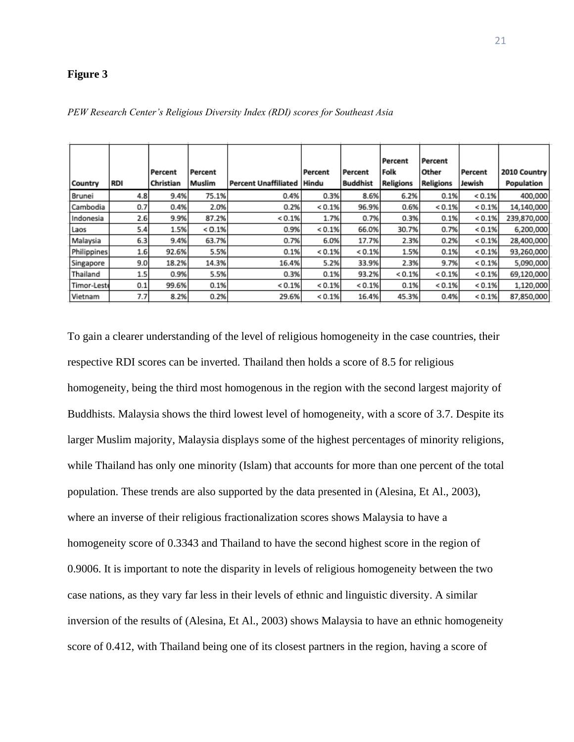# **Figure 3**

|             |            |           |         |                            |            |                 | Percent   | Percent          |         |              |
|-------------|------------|-----------|---------|----------------------------|------------|-----------------|-----------|------------------|---------|--------------|
|             |            | Percent   | Percent |                            | Percent    | Percent         | Folk      | Other            | Percent | 2010 Country |
| Country     | <b>RDI</b> | Christian | Muslim  | Percent Unaffiliated Hindu |            | <b>Buddhist</b> | Religions | <b>Religions</b> | Jewish  | Population   |
| Brunei      | 4.8        | 9.4%      | 75.1%   | 0.4%                       | 0.3%       | 8.6%            | 6.2%      | 0.1%             | < 0.1%  | 400,000      |
| Cambodia    | 0.7        | 0.4%      | 2.0%    | 0.2%                       | ${}< 0.1%$ | 96.9%           | 0.6%      | < 0.1%           | < 0.1%  | 14,140,000   |
| Indonesia   | 2.6        | 9.9%      | 87.2%   | < 0.1%                     | 1.7%       | 0.7%            | 0.3%      | 0.1%             | < 0.1%  | 239,870,000  |
| Laos        | 5.4        | 1.5%      | < 0.1%  | 0.9%                       | < 0.1%     | 66.0%           | 30.7%     | 0.7%             | < 0.1%  | 6,200,000    |
| Malaysia    | 6.3        | 9.4%      | 63.7%   | 0.7%                       | 6.0%       | 17.7%           | 2.3%      | 0.2%             | < 0.1%  | 28,400,000   |
| Philippines | 1.6        | 92.6%     | 5.5%    | 0.1%                       | < 0.1%     | < 0.1%          | 1.5%      | 0.1%             | < 0.1%  | 93,260,000   |
| Singapore   | 9.0        | 18.2%     | 14.3%   | 16.4%                      | 5.2%       | 33.9%           | 2.3%      | 9.7%             | < 0.1%  | 5,090,000    |
| Thailand    | 1.5        | 0.9%      | 5.5%    | 0.3%                       | 0.1%       | 93.2%           | < 0.1%    | < 0.1%           | < 0.1%  | 69,120,000   |
| Timor-Leste | 0.1        | 99.6%     | 0.1%    | < 0.1%                     | < 0.1%     | < 0.1%          | 0.1%      | < 0.1%           | < 0.1%  | 1,120,000    |
| Vietnam     | 7.7        | 8.2%      | 0.2%    | 29.6%                      | < 0.1%     | 16.4%           | 45.3%     | 0.4%             | < 0.1%  | 87,850,000   |

*PEW Research Center's Religious Diversity Index (RDI) scores for Southeast Asia*

To gain a clearer understanding of the level of religious homogeneity in the case countries, their respective RDI scores can be inverted. Thailand then holds a score of 8.5 for religious homogeneity, being the third most homogenous in the region with the second largest majority of Buddhists. Malaysia shows the third lowest level of homogeneity, with a score of 3.7. Despite its larger Muslim majority, Malaysia displays some of the highest percentages of minority religions, while Thailand has only one minority (Islam) that accounts for more than one percent of the total population. These trends are also supported by the data presented in (Alesina, Et Al., 2003), where an inverse of their religious fractionalization scores shows Malaysia to have a homogeneity score of 0.3343 and Thailand to have the second highest score in the region of 0.9006. It is important to note the disparity in levels of religious homogeneity between the two case nations, as they vary far less in their levels of ethnic and linguistic diversity. A similar inversion of the results of (Alesina, Et Al., 2003) shows Malaysia to have an ethnic homogeneity score of 0.412, with Thailand being one of its closest partners in the region, having a score of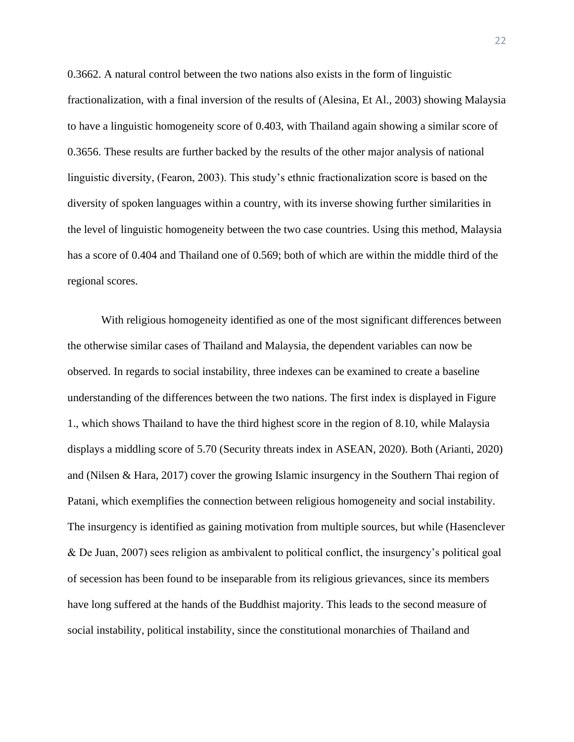0.3662. A natural control between the two nations also exists in the form of linguistic fractionalization, with a final inversion of the results of (Alesina, Et Al., 2003) showing Malaysia to have a linguistic homogeneity score of 0.403, with Thailand again showing a similar score of 0.3656. These results are further backed by the results of the other major analysis of national linguistic diversity, (Fearon, 2003). This study's ethnic fractionalization score is based on the diversity of spoken languages within a country, with its inverse showing further similarities in the level of linguistic homogeneity between the two case countries. Using this method, Malaysia has a score of 0.404 and Thailand one of 0.569; both of which are within the middle third of the regional scores.

With religious homogeneity identified as one of the most significant differences between the otherwise similar cases of Thailand and Malaysia, the dependent variables can now be observed. In regards to social instability, three indexes can be examined to create a baseline understanding of the differences between the two nations. The first index is displayed in Figure 1., which shows Thailand to have the third highest score in the region of 8.10, while Malaysia displays a middling score of 5.70 (Security threats index in ASEAN, 2020). Both (Arianti, 2020) and (Nilsen & Hara, 2017) cover the growing Islamic insurgency in the Southern Thai region of Patani, which exemplifies the connection between religious homogeneity and social instability. The insurgency is identified as gaining motivation from multiple sources, but while (Hasenclever & De Juan, 2007) sees religion as ambivalent to political conflict, the insurgency's political goal of secession has been found to be inseparable from its religious grievances, since its members have long suffered at the hands of the Buddhist majority. This leads to the second measure of social instability, political instability, since the constitutional monarchies of Thailand and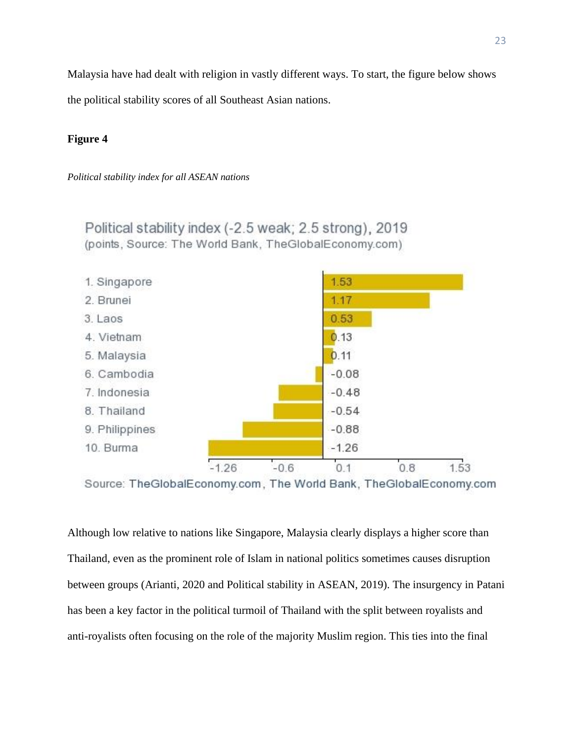Malaysia have had dealt with religion in vastly different ways. To start, the figure below shows

the political stability scores of all Southeast Asian nations.

# **Figure 4**

*Political stability index for all ASEAN nations*

Political stability index (-2.5 weak; 2.5 strong), 2019 (points, Source: The World Bank, TheGlobalEconomy.com)



Source: TheGlobalEconomy.com, The World Bank, TheGlobalEconomy.com

Although low relative to nations like Singapore, Malaysia clearly displays a higher score than Thailand, even as the prominent role of Islam in national politics sometimes causes disruption between groups (Arianti, 2020 and Political stability in ASEAN, 2019). The insurgency in Patani has been a key factor in the political turmoil of Thailand with the split between royalists and anti-royalists often focusing on the role of the majority Muslim region. This ties into the final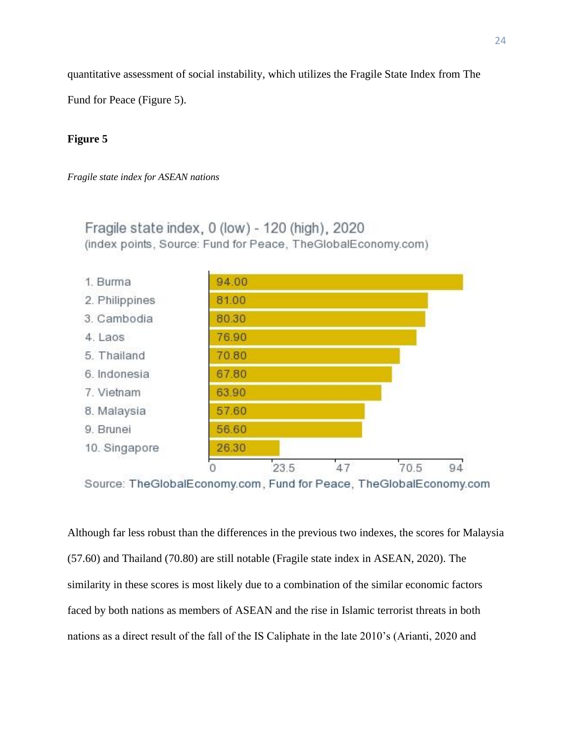quantitative assessment of social instability, which utilizes the Fragile State Index from The

Fund for Peace (Figure 5).

# **Figure 5**

*Fragile state index for ASEAN nations*

Fragile state index, 0 (low) - 120 (high), 2020 (index points, Source: Fund for Peace, TheGlobalEconomy.com)



Source: TheGlobalEconomy.com, Fund for Peace, TheGlobalEconomy.com

Although far less robust than the differences in the previous two indexes, the scores for Malaysia (57.60) and Thailand (70.80) are still notable (Fragile state index in ASEAN, 2020). The similarity in these scores is most likely due to a combination of the similar economic factors faced by both nations as members of ASEAN and the rise in Islamic terrorist threats in both nations as a direct result of the fall of the IS Caliphate in the late 2010's (Arianti, 2020 and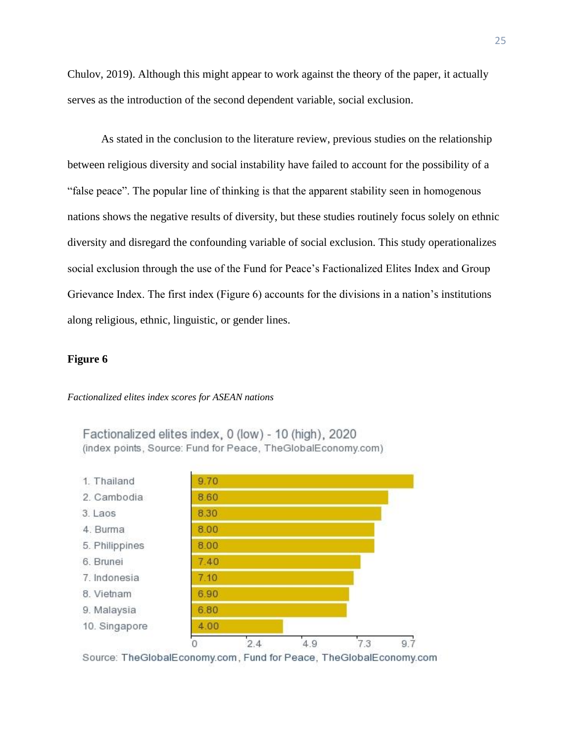Chulov, 2019). Although this might appear to work against the theory of the paper, it actually serves as the introduction of the second dependent variable, social exclusion.

As stated in the conclusion to the literature review, previous studies on the relationship between religious diversity and social instability have failed to account for the possibility of a "false peace". The popular line of thinking is that the apparent stability seen in homogenous nations shows the negative results of diversity, but these studies routinely focus solely on ethnic diversity and disregard the confounding variable of social exclusion. This study operationalizes social exclusion through the use of the Fund for Peace's Factionalized Elites Index and Group Grievance Index. The first index (Figure 6) accounts for the divisions in a nation's institutions along religious, ethnic, linguistic, or gender lines.

## **Figure 6**

#### *Factionalized elites index scores for ASEAN nations*

Factionalized elites index, 0 (low) - 10 (high), 2020 (index points, Source: Fund for Peace, TheGlobalEconomy.com)



Source: TheGlobalEconomy.com, Fund for Peace, TheGlobalEconomy.com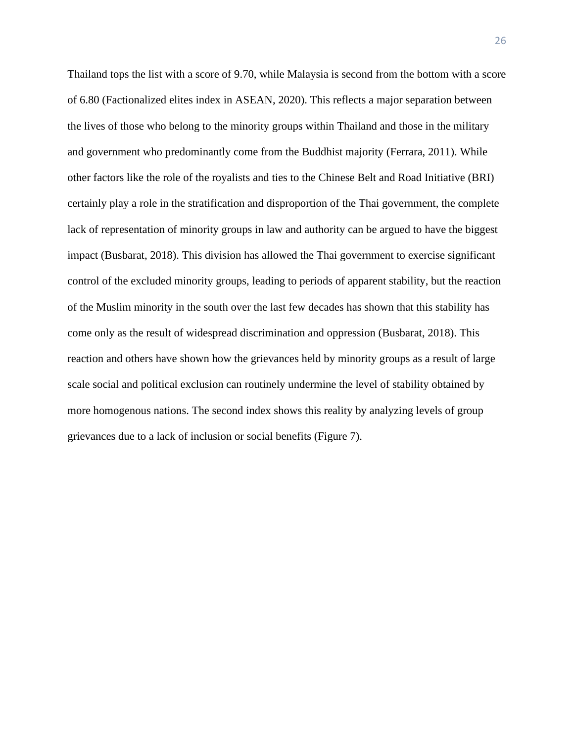Thailand tops the list with a score of 9.70, while Malaysia is second from the bottom with a score of 6.80 (Factionalized elites index in ASEAN, 2020). This reflects a major separation between the lives of those who belong to the minority groups within Thailand and those in the military and government who predominantly come from the Buddhist majority (Ferrara, 2011). While other factors like the role of the royalists and ties to the Chinese Belt and Road Initiative (BRI) certainly play a role in the stratification and disproportion of the Thai government, the complete lack of representation of minority groups in law and authority can be argued to have the biggest impact (Busbarat, 2018). This division has allowed the Thai government to exercise significant control of the excluded minority groups, leading to periods of apparent stability, but the reaction of the Muslim minority in the south over the last few decades has shown that this stability has come only as the result of widespread discrimination and oppression (Busbarat, 2018). This reaction and others have shown how the grievances held by minority groups as a result of large scale social and political exclusion can routinely undermine the level of stability obtained by more homogenous nations. The second index shows this reality by analyzing levels of group grievances due to a lack of inclusion or social benefits (Figure 7).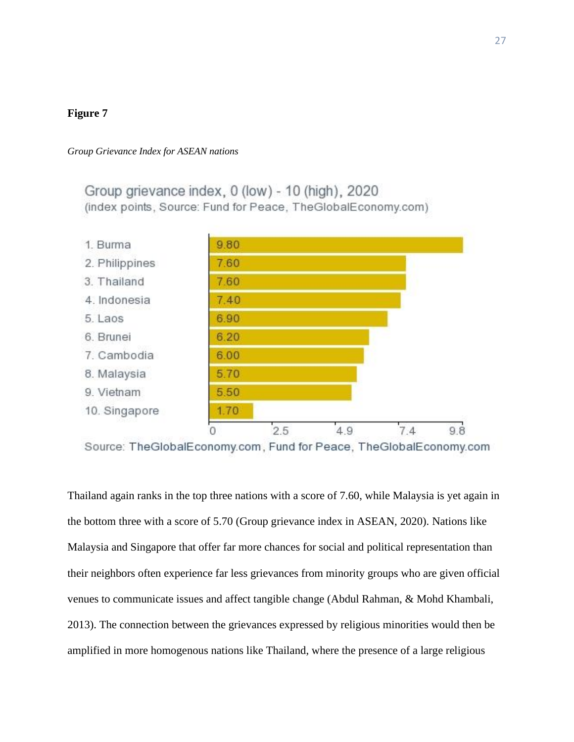# **Figure 7**

#### *Group Grievance Index for ASEAN nations*

Group grievance index, 0 (low) - 10 (high), 2020 (index points, Source: Fund for Peace, TheGlobalEconomy.com)



Source: TheGlobalEconomy.com, Fund for Peace, TheGlobalEconomy.com

Thailand again ranks in the top three nations with a score of 7.60, while Malaysia is yet again in the bottom three with a score of 5.70 (Group grievance index in ASEAN, 2020). Nations like Malaysia and Singapore that offer far more chances for social and political representation than their neighbors often experience far less grievances from minority groups who are given official venues to communicate issues and affect tangible change (Abdul Rahman, & Mohd Khambali, 2013). The connection between the grievances expressed by religious minorities would then be amplified in more homogenous nations like Thailand, where the presence of a large religious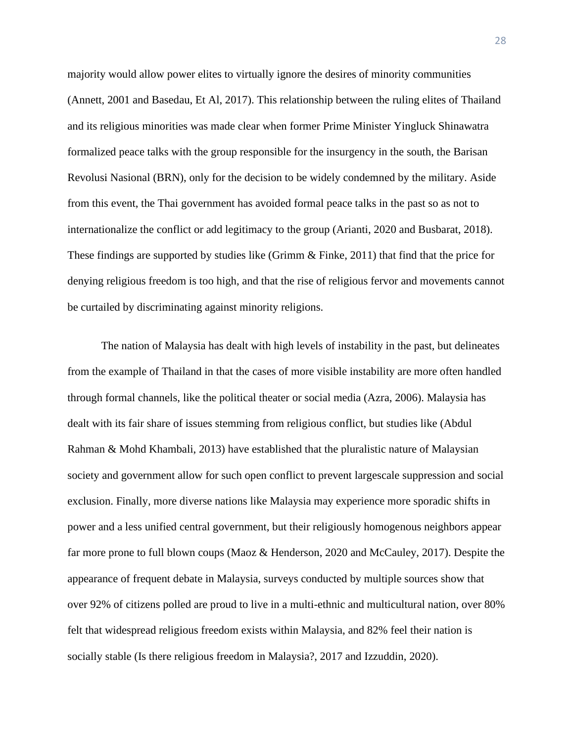majority would allow power elites to virtually ignore the desires of minority communities (Annett, 2001 and Basedau, Et Al, 2017). This relationship between the ruling elites of Thailand and its religious minorities was made clear when former Prime Minister Yingluck Shinawatra formalized peace talks with the group responsible for the insurgency in the south, the Barisan Revolusi Nasional (BRN), only for the decision to be widely condemned by the military. Aside from this event, the Thai government has avoided formal peace talks in the past so as not to internationalize the conflict or add legitimacy to the group (Arianti, 2020 and Busbarat, 2018). These findings are supported by studies like (Grimm & Finke, 2011) that find that the price for denying religious freedom is too high, and that the rise of religious fervor and movements cannot be curtailed by discriminating against minority religions.

The nation of Malaysia has dealt with high levels of instability in the past, but delineates from the example of Thailand in that the cases of more visible instability are more often handled through formal channels, like the political theater or social media (Azra, 2006). Malaysia has dealt with its fair share of issues stemming from religious conflict, but studies like (Abdul Rahman & Mohd Khambali, 2013) have established that the pluralistic nature of Malaysian society and government allow for such open conflict to prevent largescale suppression and social exclusion. Finally, more diverse nations like Malaysia may experience more sporadic shifts in power and a less unified central government, but their religiously homogenous neighbors appear far more prone to full blown coups (Maoz & Henderson, 2020 and McCauley, 2017). Despite the appearance of frequent debate in Malaysia, surveys conducted by multiple sources show that over 92% of citizens polled are proud to live in a multi-ethnic and multicultural nation, over 80% felt that widespread religious freedom exists within Malaysia, and 82% feel their nation is socially stable (Is there religious freedom in Malaysia?, 2017 and Izzuddin, 2020).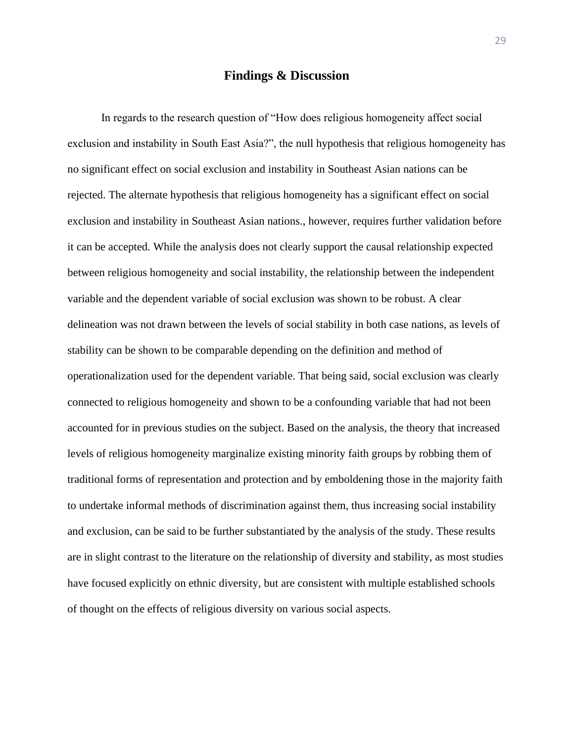## **Findings & Discussion**

In regards to the research question of "How does religious homogeneity affect social exclusion and instability in South East Asia?", the null hypothesis that religious homogeneity has no significant effect on social exclusion and instability in Southeast Asian nations can be rejected. The alternate hypothesis that religious homogeneity has a significant effect on social exclusion and instability in Southeast Asian nations., however, requires further validation before it can be accepted. While the analysis does not clearly support the causal relationship expected between religious homogeneity and social instability, the relationship between the independent variable and the dependent variable of social exclusion was shown to be robust. A clear delineation was not drawn between the levels of social stability in both case nations, as levels of stability can be shown to be comparable depending on the definition and method of operationalization used for the dependent variable. That being said, social exclusion was clearly connected to religious homogeneity and shown to be a confounding variable that had not been accounted for in previous studies on the subject. Based on the analysis, the theory that increased levels of religious homogeneity marginalize existing minority faith groups by robbing them of traditional forms of representation and protection and by emboldening those in the majority faith to undertake informal methods of discrimination against them, thus increasing social instability and exclusion, can be said to be further substantiated by the analysis of the study. These results are in slight contrast to the literature on the relationship of diversity and stability, as most studies have focused explicitly on ethnic diversity, but are consistent with multiple established schools of thought on the effects of religious diversity on various social aspects.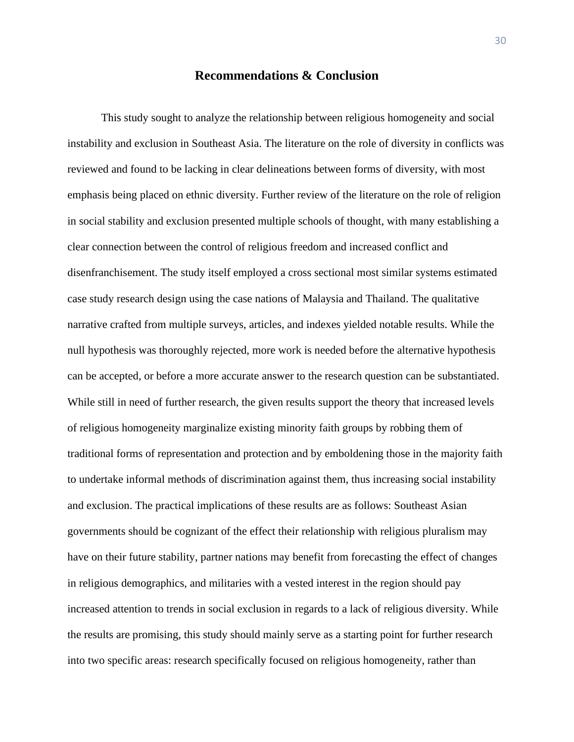## **Recommendations & Conclusion**

This study sought to analyze the relationship between religious homogeneity and social instability and exclusion in Southeast Asia. The literature on the role of diversity in conflicts was reviewed and found to be lacking in clear delineations between forms of diversity, with most emphasis being placed on ethnic diversity. Further review of the literature on the role of religion in social stability and exclusion presented multiple schools of thought, with many establishing a clear connection between the control of religious freedom and increased conflict and disenfranchisement. The study itself employed a cross sectional most similar systems estimated case study research design using the case nations of Malaysia and Thailand. The qualitative narrative crafted from multiple surveys, articles, and indexes yielded notable results. While the null hypothesis was thoroughly rejected, more work is needed before the alternative hypothesis can be accepted, or before a more accurate answer to the research question can be substantiated. While still in need of further research, the given results support the theory that increased levels of religious homogeneity marginalize existing minority faith groups by robbing them of traditional forms of representation and protection and by emboldening those in the majority faith to undertake informal methods of discrimination against them, thus increasing social instability and exclusion. The practical implications of these results are as follows: Southeast Asian governments should be cognizant of the effect their relationship with religious pluralism may have on their future stability, partner nations may benefit from forecasting the effect of changes in religious demographics, and militaries with a vested interest in the region should pay increased attention to trends in social exclusion in regards to a lack of religious diversity. While the results are promising, this study should mainly serve as a starting point for further research into two specific areas: research specifically focused on religious homogeneity, rather than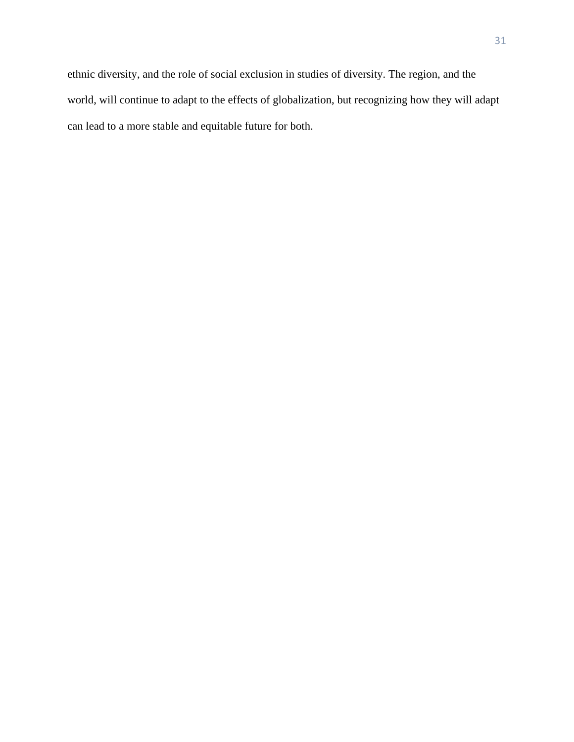ethnic diversity, and the role of social exclusion in studies of diversity. The region, and the world, will continue to adapt to the effects of globalization, but recognizing how they will adapt can lead to a more stable and equitable future for both.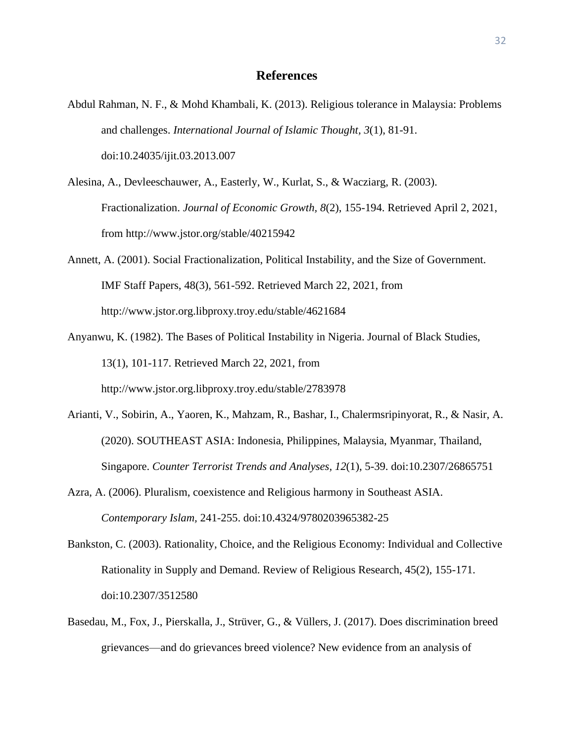- Abdul Rahman, N. F., & Mohd Khambali, K. (2013). Religious tolerance in Malaysia: Problems and challenges. *International Journal of Islamic Thought, 3*(1), 81-91. doi:10.24035/ijit.03.2013.007
- Alesina, A., Devleeschauwer, A., Easterly, W., Kurlat, S., & Wacziarg, R. (2003). Fractionalization. *Journal of Economic Growth, 8*(2), 155-194. Retrieved April 2, 2021, from http://www.jstor.org/stable/40215942
- Annett, A. (2001). Social Fractionalization, Political Instability, and the Size of Government. IMF Staff Papers, 48(3), 561-592. Retrieved March 22, 2021, from http://www.jstor.org.libproxy.troy.edu/stable/4621684
- Anyanwu, K. (1982). The Bases of Political Instability in Nigeria. Journal of Black Studies, 13(1), 101-117. Retrieved March 22, 2021, from http://www.jstor.org.libproxy.troy.edu/stable/2783978
- Arianti, V., Sobirin, A., Yaoren, K., Mahzam, R., Bashar, I., Chalermsripinyorat, R., & Nasir, A. (2020). SOUTHEAST ASIA: Indonesia, Philippines, Malaysia, Myanmar, Thailand, Singapore. *Counter Terrorist Trends and Analyses, 12*(1), 5-39. doi:10.2307/26865751
- Azra, A. (2006). Pluralism, coexistence and Religious harmony in Southeast ASIA. *Contemporary Islam,* 241-255. doi:10.4324/9780203965382-25
- Bankston, C. (2003). Rationality, Choice, and the Religious Economy: Individual and Collective Rationality in Supply and Demand. Review of Religious Research, 45(2), 155-171. doi:10.2307/3512580
- Basedau, M., Fox, J., Pierskalla, J., Strüver, G., & Vüllers, J. (2017). Does discrimination breed grievances—and do grievances breed violence? New evidence from an analysis of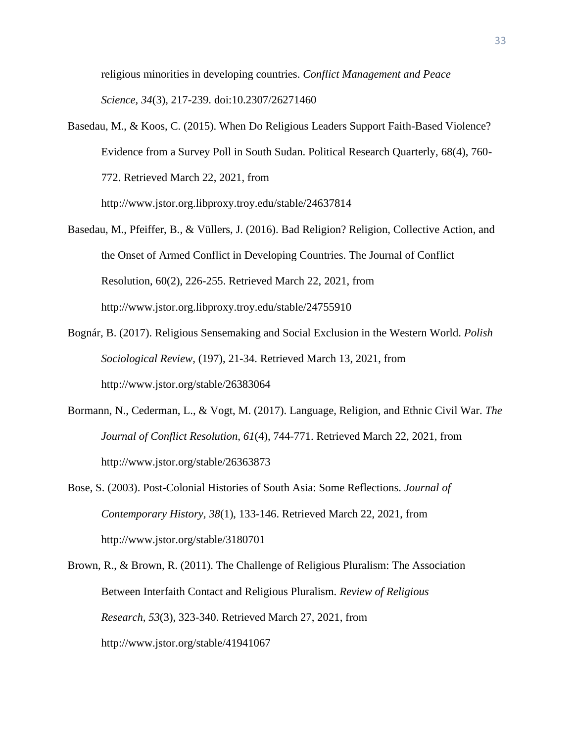religious minorities in developing countries. *Conflict Management and Peace Science, 34*(3), 217-239. doi:10.2307/26271460

- Basedau, M., & Koos, C. (2015). When Do Religious Leaders Support Faith-Based Violence? Evidence from a Survey Poll in South Sudan. Political Research Quarterly, 68(4), 760- 772. Retrieved March 22, 2021, from http://www.jstor.org.libproxy.troy.edu/stable/24637814
- Basedau, M., Pfeiffer, B., & Vüllers, J. (2016). Bad Religion? Religion, Collective Action, and the Onset of Armed Conflict in Developing Countries. The Journal of Conflict Resolution, 60(2), 226-255. Retrieved March 22, 2021, from http://www.jstor.org.libproxy.troy.edu/stable/24755910
- Bognár, B. (2017). Religious Sensemaking and Social Exclusion in the Western World. *Polish Sociological Review,* (197), 21-34. Retrieved March 13, 2021, from http://www.jstor.org/stable/26383064
- Bormann, N., Cederman, L., & Vogt, M. (2017). Language, Religion, and Ethnic Civil War. *The Journal of Conflict Resolution, 61*(4), 744-771. Retrieved March 22, 2021, from http://www.jstor.org/stable/26363873
- Bose, S. (2003). Post-Colonial Histories of South Asia: Some Reflections. *Journal of Contemporary History, 38*(1), 133-146. Retrieved March 22, 2021, from http://www.jstor.org/stable/3180701
- Brown, R., & Brown, R. (2011). The Challenge of Religious Pluralism: The Association Between Interfaith Contact and Religious Pluralism. *Review of Religious Research, 53*(3), 323-340. Retrieved March 27, 2021, from http://www.jstor.org/stable/41941067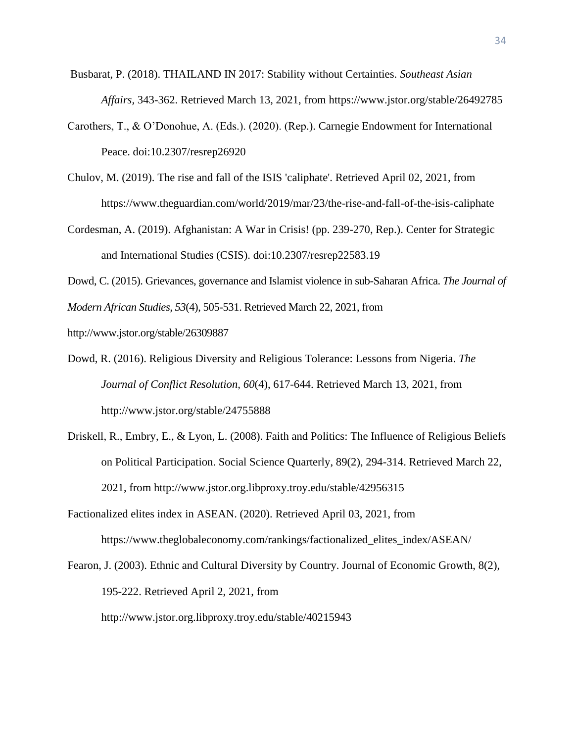- Busbarat, P. (2018). THAILAND IN 2017: Stability without Certainties. *Southeast Asian Affairs,* 343-362. Retrieved March 13, 2021, from https://www.jstor.org/stable/26492785
- Carothers, T., & O'Donohue, A. (Eds.). (2020). (Rep.). Carnegie Endowment for International Peace. doi:10.2307/resrep26920
- Chulov, M. (2019). The rise and fall of the ISIS 'caliphate'. Retrieved April 02, 2021, from https://www.theguardian.com/world/2019/mar/23/the-rise-and-fall-of-the-isis-caliphate
- Cordesman, A. (2019). Afghanistan: A War in Crisis! (pp. 239-270, Rep.). Center for Strategic and International Studies (CSIS). doi:10.2307/resrep22583.19

Dowd, C. (2015). Grievances, governance and Islamist violence in sub-Saharan Africa. *The Journal of* 

*Modern African Studies, 53*(4), 505-531. Retrieved March 22, 2021, from

http://www.jstor.org/stable/26309887

- Dowd, R. (2016). Religious Diversity and Religious Tolerance: Lessons from Nigeria. *The Journal of Conflict Resolution, 60*(4), 617-644. Retrieved March 13, 2021, from http://www.jstor.org/stable/24755888
- Driskell, R., Embry, E., & Lyon, L. (2008). Faith and Politics: The Influence of Religious Beliefs on Political Participation. Social Science Quarterly, 89(2), 294-314. Retrieved March 22, 2021, from http://www.jstor.org.libproxy.troy.edu/stable/42956315
- Factionalized elites index in ASEAN. (2020). Retrieved April 03, 2021, from https://www.theglobaleconomy.com/rankings/factionalized\_elites\_index/ASEAN/

Fearon, J. (2003). Ethnic and Cultural Diversity by Country. Journal of Economic Growth, 8(2), 195-222. Retrieved April 2, 2021, from http://www.jstor.org.libproxy.troy.edu/stable/40215943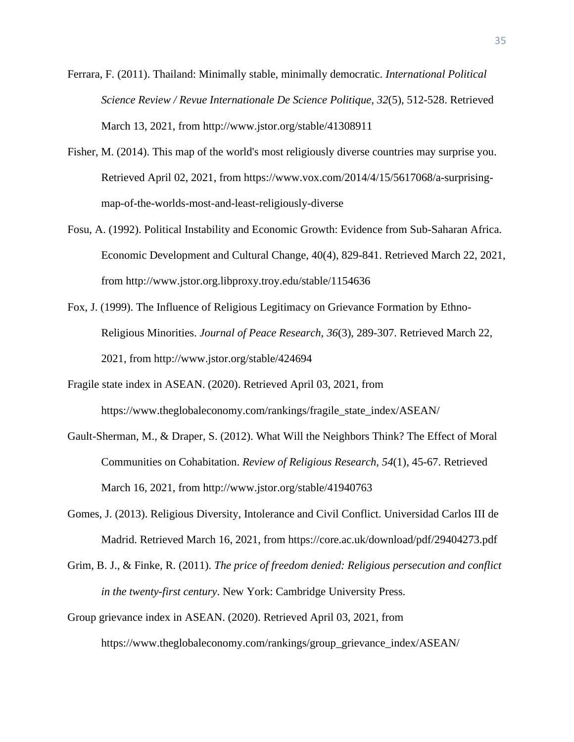- Ferrara, F. (2011). Thailand: Minimally stable, minimally democratic. *International Political Science Review / Revue Internationale De Science Politique, 32*(5), 512-528. Retrieved March 13, 2021, from http://www.jstor.org/stable/41308911
- Fisher, M. (2014). This map of the world's most religiously diverse countries may surprise you. Retrieved April 02, 2021, from https://www.vox.com/2014/4/15/5617068/a-surprisingmap-of-the-worlds-most-and-least-religiously-diverse
- Fosu, A. (1992). Political Instability and Economic Growth: Evidence from Sub-Saharan Africa. Economic Development and Cultural Change, 40(4), 829-841. Retrieved March 22, 2021, from http://www.jstor.org.libproxy.troy.edu/stable/1154636
- Fox, J. (1999). The Influence of Religious Legitimacy on Grievance Formation by Ethno-Religious Minorities. *Journal of Peace Research, 36*(3), 289-307. Retrieved March 22, 2021, from http://www.jstor.org/stable/424694
- Fragile state index in ASEAN. (2020). Retrieved April 03, 2021, from https://www.theglobaleconomy.com/rankings/fragile\_state\_index/ASEAN/
- Gault-Sherman, M., & Draper, S. (2012). What Will the Neighbors Think? The Effect of Moral Communities on Cohabitation. *Review of Religious Research, 54*(1), 45-67. Retrieved March 16, 2021, from http://www.jstor.org/stable/41940763
- Gomes, J. (2013). Religious Diversity, Intolerance and Civil Conflict. Universidad Carlos III de Madrid. Retrieved March 16, 2021, from https://core.ac.uk/download/pdf/29404273.pdf
- Grim, B. J., & Finke, R. (2011). *The price of freedom denied: Religious persecution and conflict in the twenty-first century*. New York: Cambridge University Press.
- Group grievance index in ASEAN. (2020). Retrieved April 03, 2021, from https://www.theglobaleconomy.com/rankings/group\_grievance\_index/ASEAN/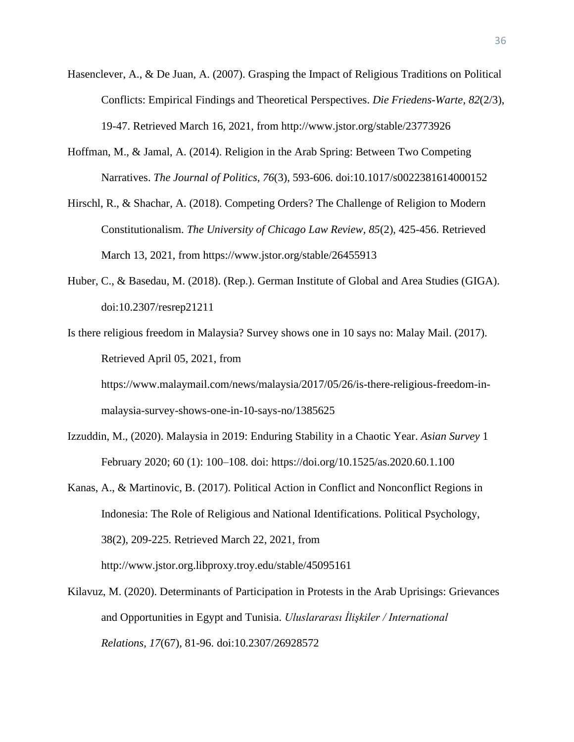- Hasenclever, A., & De Juan, A. (2007). Grasping the Impact of Religious Traditions on Political Conflicts: Empirical Findings and Theoretical Perspectives. *Die Friedens-Warte, 82*(2/3), 19-47. Retrieved March 16, 2021, from http://www.jstor.org/stable/23773926
- Hoffman, M., & Jamal, A. (2014). Religion in the Arab Spring: Between Two Competing Narratives. *The Journal of Politics, 76*(3), 593-606. doi:10.1017/s0022381614000152
- Hirschl, R., & Shachar, A. (2018). Competing Orders? The Challenge of Religion to Modern Constitutionalism. *The University of Chicago Law Review, 85*(2), 425-456. Retrieved March 13, 2021, from https://www.jstor.org/stable/26455913
- Huber, C., & Basedau, M. (2018). (Rep.). German Institute of Global and Area Studies (GIGA). doi:10.2307/resrep21211
- Is there religious freedom in Malaysia? Survey shows one in 10 says no: Malay Mail. (2017). Retrieved April 05, 2021, from

https://www.malaymail.com/news/malaysia/2017/05/26/is-there-religious-freedom-inmalaysia-survey-shows-one-in-10-says-no/1385625

- Izzuddin, M., (2020). Malaysia in 2019: Enduring Stability in a Chaotic Year. *Asian Survey* 1 February 2020; 60 (1): 100–108. doi: https://doi.org/10.1525/as.2020.60.1.100
- Kanas, A., & Martinovic, B. (2017). Political Action in Conflict and Nonconflict Regions in Indonesia: The Role of Religious and National Identifications. Political Psychology, 38(2), 209-225. Retrieved March 22, 2021, from http://www.jstor.org.libproxy.troy.edu/stable/45095161
- Kilavuz, M. (2020). Determinants of Participation in Protests in the Arab Uprisings: Grievances and Opportunities in Egypt and Tunisia. *Uluslararası İlişkiler / International Relations, 17*(67), 81-96. doi:10.2307/26928572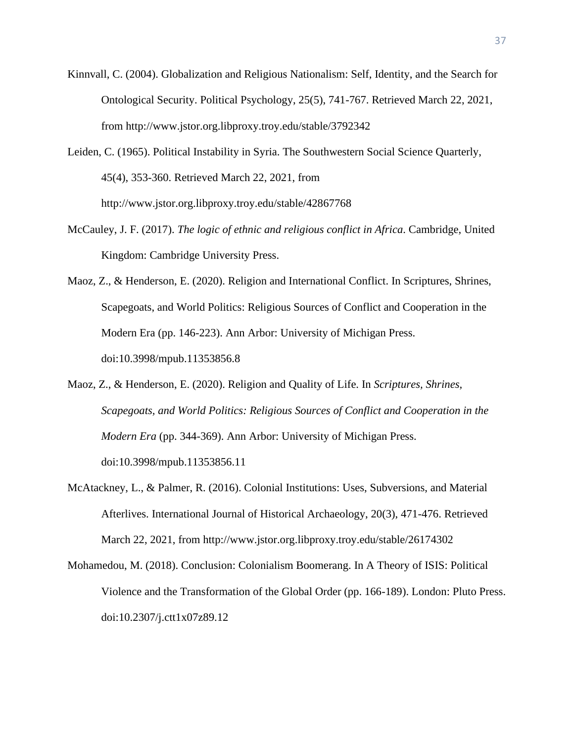- Kinnvall, C. (2004). Globalization and Religious Nationalism: Self, Identity, and the Search for Ontological Security. Political Psychology, 25(5), 741-767. Retrieved March 22, 2021, from http://www.jstor.org.libproxy.troy.edu/stable/3792342
- Leiden, C. (1965). Political Instability in Syria. The Southwestern Social Science Quarterly, 45(4), 353-360. Retrieved March 22, 2021, from http://www.jstor.org.libproxy.troy.edu/stable/42867768
- McCauley, J. F. (2017). *The logic of ethnic and religious conflict in Africa*. Cambridge, United Kingdom: Cambridge University Press.
- Maoz, Z., & Henderson, E. (2020). Religion and International Conflict. In Scriptures, Shrines, Scapegoats, and World Politics: Religious Sources of Conflict and Cooperation in the Modern Era (pp. 146-223). Ann Arbor: University of Michigan Press. doi:10.3998/mpub.11353856.8
- Maoz, Z., & Henderson, E. (2020). Religion and Quality of Life. In *Scriptures, Shrines, Scapegoats, and World Politics: Religious Sources of Conflict and Cooperation in the Modern Era* (pp. 344-369). Ann Arbor: University of Michigan Press. doi:10.3998/mpub.11353856.11
- McAtackney, L., & Palmer, R. (2016). Colonial Institutions: Uses, Subversions, and Material Afterlives. International Journal of Historical Archaeology, 20(3), 471-476. Retrieved March 22, 2021, from http://www.jstor.org.libproxy.troy.edu/stable/26174302
- Mohamedou, M. (2018). Conclusion: Colonialism Boomerang. In A Theory of ISIS: Political Violence and the Transformation of the Global Order (pp. 166-189). London: Pluto Press. doi:10.2307/j.ctt1x07z89.12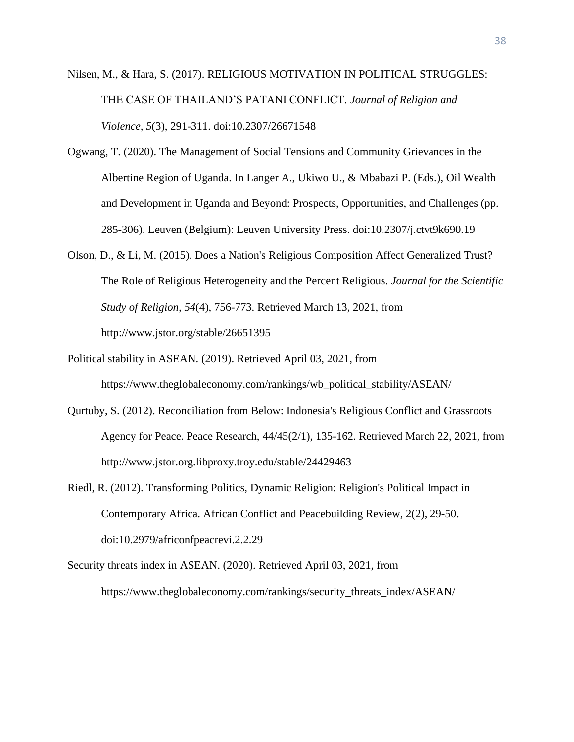- Nilsen, M., & Hara, S. (2017). RELIGIOUS MOTIVATION IN POLITICAL STRUGGLES: THE CASE OF THAILAND'S PATANI CONFLICT. *Journal of Religion and Violence, 5*(3), 291-311. doi:10.2307/26671548
- Ogwang, T. (2020). The Management of Social Tensions and Community Grievances in the Albertine Region of Uganda. In Langer A., Ukiwo U., & Mbabazi P. (Eds.), Oil Wealth and Development in Uganda and Beyond: Prospects, Opportunities, and Challenges (pp. 285-306). Leuven (Belgium): Leuven University Press. doi:10.2307/j.ctvt9k690.19
- Olson, D., & Li, M. (2015). Does a Nation's Religious Composition Affect Generalized Trust? The Role of Religious Heterogeneity and the Percent Religious. *Journal for the Scientific Study of Religion, 54*(4), 756-773. Retrieved March 13, 2021, from http://www.jstor.org/stable/26651395
- Political stability in ASEAN. (2019). Retrieved April 03, 2021, from https://www.theglobaleconomy.com/rankings/wb\_political\_stability/ASEAN/
- Qurtuby, S. (2012). Reconciliation from Below: Indonesia's Religious Conflict and Grassroots Agency for Peace. Peace Research, 44/45(2/1), 135-162. Retrieved March 22, 2021, from http://www.jstor.org.libproxy.troy.edu/stable/24429463
- Riedl, R. (2012). Transforming Politics, Dynamic Religion: Religion's Political Impact in Contemporary Africa. African Conflict and Peacebuilding Review, 2(2), 29-50. doi:10.2979/africonfpeacrevi.2.2.29
- Security threats index in ASEAN. (2020). Retrieved April 03, 2021, from https://www.theglobaleconomy.com/rankings/security\_threats\_index/ASEAN/